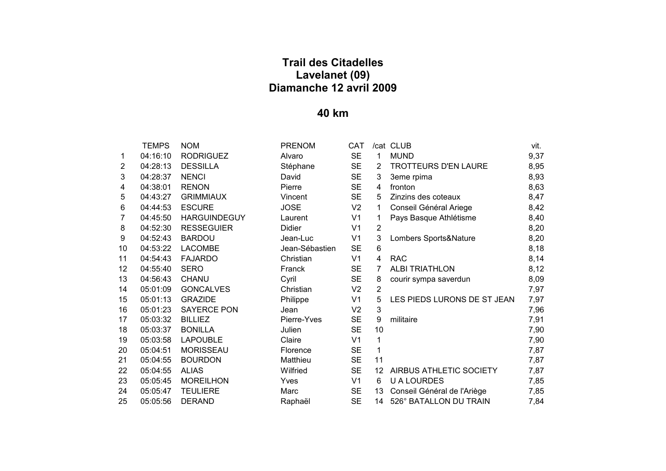|                 | TEMPS            | NOM                   |
|-----------------|------------------|-----------------------|
| 1               | 04:16:10         | <b>RODRIGUEZ</b>      |
| $\overline{2}$  | 04:28:13         | <b>DESSILLA</b>       |
| 3               | 04:28:37 NENCI   |                       |
| 4               | 04:38:01         | RENON                 |
| 5               |                  | 04:43:27 GRIMMIAUX    |
| 6               | 04:44:53         | <b>ESCURE</b>         |
| $\overline{7}$  |                  | 04:45:50 HARGUINDEGUY |
| 8               |                  | 04:52:30 RESSEGUIER   |
| 9               |                  | 04:52:43 BARDOU       |
| 10              |                  | 04:53:22 LACOMBE      |
| 11              |                  | 04:54:43    FAJARDO   |
| 12 <sup>2</sup> | 04:55:40         | <b>SERO</b>           |
| 13              | 04:56:43 CHANU   |                       |
| 14              | 05:01:09         | <b>GONCALVES</b>      |
| 15              | 05:01:13         | <b>GRAZIDE</b>        |
| 16              |                  | 05:01:23 SAYERCE PON  |
| 17              | 05:03:32 BILLIEZ |                       |
| 18              |                  | 05:03:37 BONILLA      |
| 19              |                  | 05:03:58 LAPOUBLE     |
| 20              |                  | 05:04:51 MORISSEAU    |
| 21              |                  | 05:04:55 BOURDON      |
| 22              | 05:04:55 ALIAS   |                       |
| 23              |                  | 05:05:45 MOREILHON    |
| 24              |                  | 05:05:47 TEULIERE     |
| 25              | 05:05:56         | <b>DERAND</b>         |

|                | <b>TEMPS</b> | <b>NOM</b>          | <b>PRENOM</b>  | CAT            |                | /cat CLUB                   | vit. |
|----------------|--------------|---------------------|----------------|----------------|----------------|-----------------------------|------|
| 1              | 04:16:10     | <b>RODRIGUEZ</b>    | Alvaro         | <b>SE</b>      | 1              | <b>MUND</b>                 | 9,37 |
| $\overline{2}$ | 04:28:13     | <b>DESSILLA</b>     | Stéphane       | <b>SE</b>      | 2              | <b>TROTTEURS D'EN LAURE</b> | 8,95 |
| 3              | 04:28:37     | <b>NENCI</b>        | David          | <b>SE</b>      | 3              | 3eme rpima                  | 8,93 |
| 4              | 04:38:01     | <b>RENON</b>        | Pierre         | <b>SE</b>      | 4              | fronton                     | 8,63 |
| 5              | 04:43:27     | <b>GRIMMIAUX</b>    | Vincent        | <b>SE</b>      | 5              | Zinzins des coteaux         | 8,47 |
| 6              | 04:44:53     | <b>ESCURE</b>       | <b>JOSE</b>    | V <sub>2</sub> | 1              | Conseil Général Ariege      | 8,42 |
| 7              | 04:45:50     | <b>HARGUINDEGUY</b> | Laurent        | V <sub>1</sub> | 1              | Pays Basque Athlétisme      | 8,40 |
| 8              | 04:52:30     | <b>RESSEGUIER</b>   | Didier         | V <sub>1</sub> | $\overline{2}$ |                             | 8,20 |
| 9              | 04:52:43     | <b>BARDOU</b>       | Jean-Luc       | V <sub>1</sub> | 3              | Lombers Sports&Nature       | 8,20 |
| 10             | 04:53:22     | <b>LACOMBE</b>      | Jean-Sébastien | <b>SE</b>      | 6              |                             | 8,18 |
| 11             | 04:54:43     | <b>FAJARDO</b>      | Christian      | V <sub>1</sub> | 4              | <b>RAC</b>                  | 8,14 |
| 12             | 04:55:40     | <b>SERO</b>         | Franck         | <b>SE</b>      | 7              | <b>ALBI TRIATHLON</b>       | 8,12 |
| 13             | 04:56:43     | <b>CHANU</b>        | Cyril          | <b>SE</b>      | 8              | courir sympa saverdun       | 8,09 |
| 14             | 05:01:09     | <b>GONCALVES</b>    | Christian      | V <sub>2</sub> | $\overline{2}$ |                             | 7,97 |
| 15             | 05:01:13     | <b>GRAZIDE</b>      | Philippe       | V <sub>1</sub> | 5              | LES PIEDS LURONS DE ST JEAN | 7,97 |
| 16             | 05:01:23     | <b>SAYERCE PON</b>  | Jean           | V <sub>2</sub> | $\mathbf{3}$   |                             | 7,96 |
| 17             | 05:03:32     | <b>BILLIEZ</b>      | Pierre-Yves    | <b>SE</b>      | 9              | militaire                   | 7,91 |
| 18             | 05:03:37     | <b>BONILLA</b>      | Julien         | <b>SE</b>      | 10             |                             | 7,90 |
| 19             | 05:03:58     | <b>LAPOUBLE</b>     | Claire         | V <sub>1</sub> | 1              |                             | 7,90 |
| 20             | 05:04:51     | <b>MORISSEAU</b>    | Florence       | <b>SE</b>      | 1              |                             | 7,87 |
| 21             | 05:04:55     | <b>BOURDON</b>      | Matthieu       | <b>SE</b>      | 11             |                             | 7,87 |
| 22             | 05:04:55     | <b>ALIAS</b>        | Wilfried       | <b>SE</b>      | 12             | AIRBUS ATHLETIC SOCIETY     | 7,87 |
| 23             | 05:05:45     | <b>MOREILHON</b>    | Yves           | V <sub>1</sub> | 6              | <b>U A LOURDES</b>          | 7,85 |
| 24             | 05:05:47     | <b>TEULIERE</b>     | Marc           | <b>SE</b>      | 13             | Conseil Général de l'Ariège | 7,85 |
| 25             | 05:05:56     | <b>DERAND</b>       | Raphaël        | <b>SE</b>      | 14             | 526° BATALLON DU TRAIN      | 7,84 |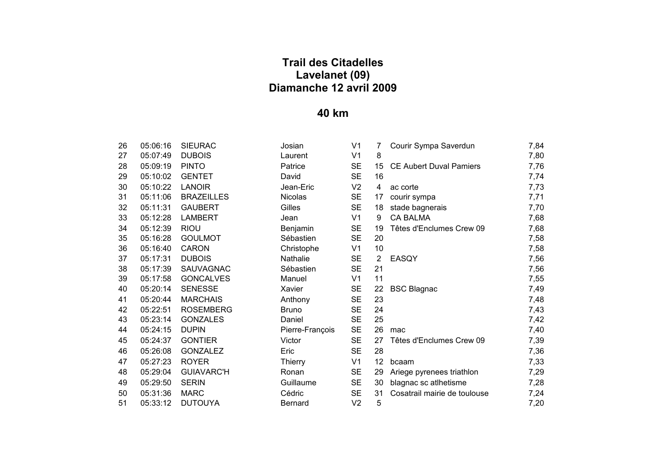| 26 | 05:06:16 | <b>SIEURAC</b>    |
|----|----------|-------------------|
| 27 | 05:07:49 | <b>DUBOIS</b>     |
| 28 | 05:09:19 | <b>PINTO</b>      |
| 29 | 05:10:02 | <b>GENTET</b>     |
| 30 | 05:10:22 | LANOIR            |
| 31 | 05:11:06 | <b>BRAZEILLES</b> |
| 32 | 05:11:31 | <b>GAUBERT</b>    |
| 33 | 05:12:28 | LAMBERT           |
| 34 | 05:12:39 | RIOU              |
| 35 | 05:16:28 | <b>GOULMOT</b>    |
| 36 | 05:16:40 | CARON             |
| 37 | 05:17:31 | <b>DUBOIS</b>     |
| 38 | 05:17:39 | SAUVAGNAC         |
| 39 | 05:17:58 | <b>GONCALVES</b>  |
| 40 | 05:20:14 | <b>SENESSE</b>    |
| 41 | 05:20:44 | <b>MARCHAIS</b>   |
| 42 | 05:22:51 | <b>ROSEMBERG</b>  |
| 43 | 05:23:14 | <b>GONZALES</b>   |
| 44 | 05:24:15 | DUPIN             |
| 45 | 05:24:37 | <b>GONTIER</b>    |
| 46 | 05:26:08 | <b>GONZALEZ</b>   |
| 47 | 05:27:23 | <b>ROYER</b>      |
| 48 | 05:29:04 | <b>GUIAVARC'H</b> |
| 49 | 05:29:50 | <b>SERIN</b>      |
| 50 | 05:31:36 | <b>MARC</b>       |
| 51 | 05:33:12 | <b>DUTOUYA</b>    |

| 26 | 05:06:16 | <b>SIEURAC</b>    | Josian          | V1             | 7              | Courir Sympa Saverdun          | 7,84 |
|----|----------|-------------------|-----------------|----------------|----------------|--------------------------------|------|
| 27 | 05:07:49 | <b>DUBOIS</b>     | Laurent         | V <sub>1</sub> | 8              |                                | 7,80 |
| 28 | 05:09:19 | <b>PINTO</b>      | Patrice         | <b>SE</b>      | 15             | <b>CE Aubert Duval Pamiers</b> | 7,76 |
| 29 | 05:10:02 | <b>GENTET</b>     | David           | <b>SE</b>      | 16             |                                | 7,74 |
| 30 | 05:10:22 | <b>LANOIR</b>     | Jean-Eric       | V <sub>2</sub> | 4              | ac corte                       | 7,73 |
| 31 | 05:11:06 | <b>BRAZEILLES</b> | <b>Nicolas</b>  | <b>SE</b>      | 17             | courir sympa                   | 7,71 |
| 32 | 05:11:31 | <b>GAUBERT</b>    | Gilles          | <b>SE</b>      | 18             | stade bagnerais                | 7,70 |
| 33 | 05:12:28 | <b>LAMBERT</b>    | Jean            | V <sub>1</sub> | 9              | <b>CA BALMA</b>                | 7,68 |
| 34 | 05:12:39 | <b>RIOU</b>       | Benjamin        | <b>SE</b>      | 19             | Têtes d'Enclumes Crew 09       | 7,68 |
| 35 | 05:16:28 | <b>GOULMOT</b>    | Sébastien       | <b>SE</b>      | 20             |                                | 7,58 |
| 36 | 05:16:40 | <b>CARON</b>      | Christophe      | V <sub>1</sub> | 10             |                                | 7,58 |
| 37 | 05:17:31 | <b>DUBOIS</b>     | Nathalie        | <b>SE</b>      | $\overline{2}$ | <b>EASQY</b>                   | 7,56 |
| 38 | 05:17:39 | <b>SAUVAGNAC</b>  | Sébastien       | <b>SE</b>      | 21             |                                | 7,56 |
| 39 | 05:17:58 | <b>GONCALVES</b>  | Manuel          | V1             | 11             |                                | 7,55 |
| 40 | 05:20:14 | <b>SENESSE</b>    | Xavier          | <b>SE</b>      | 22             | <b>BSC Blagnac</b>             | 7,49 |
| 41 | 05:20:44 | <b>MARCHAIS</b>   | Anthony         | <b>SE</b>      | 23             |                                | 7,48 |
| 42 | 05:22:51 | <b>ROSEMBERG</b>  | <b>Bruno</b>    | <b>SE</b>      | 24             |                                | 7,43 |
| 43 | 05:23:14 | <b>GONZALES</b>   | Daniel          | <b>SE</b>      | 25             |                                | 7,42 |
| 44 | 05:24:15 | <b>DUPIN</b>      | Pierre-François | <b>SE</b>      | 26             | mac                            | 7,40 |
| 45 | 05:24:37 | <b>GONTIER</b>    | Victor          | <b>SE</b>      | 27             | Têtes d'Enclumes Crew 09       | 7,39 |
| 46 | 05:26:08 | <b>GONZALEZ</b>   | Eric            | <b>SE</b>      | 28             |                                | 7,36 |
| 47 | 05:27:23 | <b>ROYER</b>      | Thierry         | V <sub>1</sub> | 12             | bcaam                          | 7,33 |
| 48 | 05:29:04 | <b>GUIAVARC'H</b> | Ronan           | <b>SE</b>      | 29             | Ariege pyrenees triathlon      | 7,29 |
| 49 | 05:29:50 | <b>SERIN</b>      | Guillaume       | <b>SE</b>      | 30             | blagnac sc atlhetisme          | 7,28 |
| 50 | 05:31:36 | <b>MARC</b>       | Cédric          | <b>SE</b>      | 31             | Cosatrail mairie de toulouse   | 7,24 |
| 51 | 05:33:12 | <b>DUTOUYA</b>    | <b>Bernard</b>  | V <sub>2</sub> | 5              |                                | 7,20 |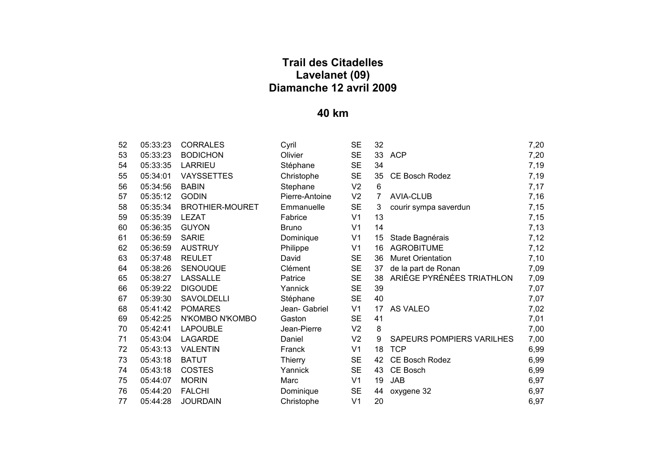| 52 | 05:33:23 | <b>CORRALES</b>        | Cyril          | <b>SE</b>      | 32 |                           | 7,20 |
|----|----------|------------------------|----------------|----------------|----|---------------------------|------|
| 53 | 05:33:23 | <b>BODICHON</b>        | Olivier        | <b>SE</b>      | 33 | <b>ACP</b>                | 7,20 |
| 54 | 05:33:35 | <b>LARRIEU</b>         | Stéphane       | <b>SE</b>      | 34 |                           | 7,19 |
| 55 | 05:34:01 | <b>VAYSSETTES</b>      | Christophe     | <b>SE</b>      | 35 | <b>CE Bosch Rodez</b>     | 7,19 |
| 56 | 05:34:56 | <b>BABIN</b>           | Stephane       | V <sub>2</sub> | 6  |                           | 7,17 |
| 57 | 05:35:12 | <b>GODIN</b>           | Pierre-Antoine | V <sub>2</sub> | 7  | <b>AVIA-CLUB</b>          | 7,16 |
| 58 | 05:35:34 | <b>BROTHIER-MOURET</b> | Emmanuelle     | <b>SE</b>      | 3  | courir sympa saverdun     | 7,15 |
| 59 | 05:35:39 | <b>LEZAT</b>           | Fabrice        | V <sub>1</sub> | 13 |                           | 7,15 |
| 60 | 05:36:35 | <b>GUYON</b>           | <b>Bruno</b>   | V <sub>1</sub> | 14 |                           | 7,13 |
| 61 | 05:36:59 | <b>SARIE</b>           | Dominique      | V <sub>1</sub> | 15 | Stade Bagnérais           | 7,12 |
| 62 | 05:36:59 | <b>AUSTRUY</b>         | Philippe       | V <sub>1</sub> | 16 | <b>AGROBITUME</b>         | 7,12 |
| 63 | 05:37:48 | <b>REULET</b>          | David          | <b>SE</b>      | 36 | <b>Muret Orientation</b>  | 7,10 |
| 64 | 05:38:26 | SENOUQUE               | Clément        | <b>SE</b>      | 37 | de la part de Ronan       | 7,09 |
| 65 | 05:38:27 | <b>LASSALLE</b>        | Patrice        | <b>SE</b>      | 38 | ARIÈGE PYRÉNÉES TRIATHLON | 7,09 |
| 66 | 05:39:22 | <b>DIGOUDE</b>         | Yannick        | <b>SE</b>      | 39 |                           | 7,07 |
| 67 | 05:39:30 | SAVOLDELLI             | Stéphane       | <b>SE</b>      | 40 |                           | 7,07 |
| 68 | 05:41:42 | <b>POMARES</b>         | Jean- Gabriel  | V <sub>1</sub> | 17 | AS VALEO                  | 7,02 |
| 69 | 05:42:25 | N'KOMBO N'KOMBO        | Gaston         | <b>SE</b>      | 41 |                           | 7,01 |
| 70 | 05:42:41 | <b>LAPOUBLE</b>        | Jean-Pierre    | V <sub>2</sub> | 8  |                           | 7,00 |
| 71 | 05:43:04 | <b>LAGARDE</b>         | Daniel         | V <sub>2</sub> | 9  | SAPEURS POMPIERS VARILHES | 7,00 |
| 72 | 05:43:13 | <b>VALENTIN</b>        | Franck         | V <sub>1</sub> | 18 | <b>TCP</b>                | 6,99 |
| 73 | 05:43:18 | <b>BATUT</b>           | Thierry        | <b>SE</b>      | 42 | CE Bosch Rodez            | 6,99 |
| 74 | 05:43:18 | <b>COSTES</b>          | Yannick        | <b>SE</b>      | 43 | CE Bosch                  | 6,99 |
| 75 | 05:44:07 | <b>MORIN</b>           | Marc           | V <sub>1</sub> | 19 | <b>JAB</b>                | 6,97 |
| 76 | 05:44:20 | <b>FALCHI</b>          | Dominique      | <b>SE</b>      | 44 | oxygene 32                | 6,97 |
| 77 | 05:44:28 | <b>JOURDAIN</b>        | Christophe     | V <sub>1</sub> | 20 |                           | 6,97 |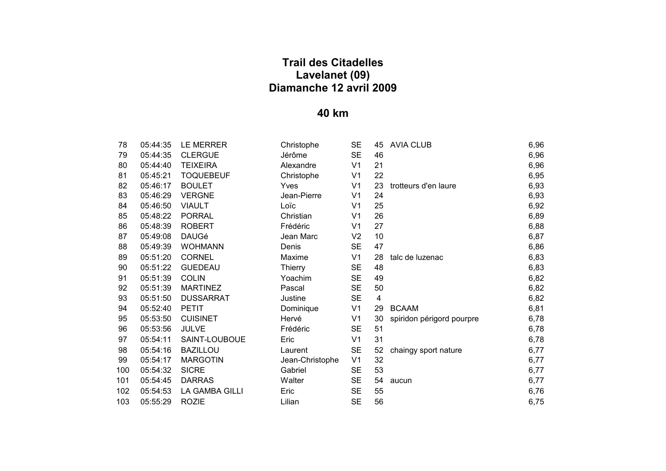| 78  | 05:44:35 | LE MERRER        |
|-----|----------|------------------|
| 79  | 05:44:35 | <b>CLERGUE</b>   |
| 80  | 05:44:40 | <b>TEIXEIRA</b>  |
| 81  | 05:45:21 | <b>TOQUEBEUF</b> |
| 82  | 05:46:17 | <b>BOULET</b>    |
| 83  | 05:46:29 | <b>VERGNE</b>    |
| 84  | 05:46:50 | <b>VIAULT</b>    |
| 85  | 05:48:22 | <b>PORRAL</b>    |
| 86  | 05:48:39 | <b>ROBERT</b>    |
| 87  | 05:49:08 | <b>DAUGé</b>     |
| 88  | 05:49:39 | <b>WOHMANN</b>   |
| 89  | 05:51:20 | <b>CORNEL</b>    |
| 90  | 05:51:22 | <b>GUEDEAU</b>   |
| 91  | 05:51:39 | <b>COLIN</b>     |
| 92  | 05:51:39 | <b>MARTINFZ</b>  |
| 93  | 05:51:50 | DUSSARRAT        |
| 94  | 05:52:40 | PETIT            |
| 95  | 05:53:50 | <b>CUISINET</b>  |
| 96  | 05:53:56 | JULVE            |
| 97  | 05:54:11 | SAINT-LOUBOUE    |
| 98  | 05:54:16 | BAZILLOU         |
| 99  | 05:54:17 | <b>MARGOTIN</b>  |
| 100 | 05:54:32 | <b>SICRE</b>     |
| 101 | 05:54:45 | <b>DARRAS</b>    |
| 102 | 05:54:53 | LA GAMBA GILLI   |
| 103 | 05:55:29 | <b>ROZIE</b>     |
|     |          |                  |

| 78  | 05:44:35 | LE MERRER        | Christophe      | <b>SE</b>      | 45 | <b>AVIA CLUB</b>          | 6,96 |
|-----|----------|------------------|-----------------|----------------|----|---------------------------|------|
| 79  | 05:44:35 | <b>CLERGUE</b>   | Jérôme          | <b>SE</b>      | 46 |                           | 6,96 |
| 80  | 05:44:40 | <b>TEIXEIRA</b>  | Alexandre       | V <sub>1</sub> | 21 |                           | 6,96 |
| 81  | 05:45:21 | <b>TOQUEBEUF</b> | Christophe      | V <sub>1</sub> | 22 |                           | 6,95 |
| 82  | 05:46:17 | <b>BOULET</b>    | Yves            | V <sub>1</sub> | 23 | trotteurs d'en laure      | 6,93 |
| 83  | 05:46:29 | <b>VERGNE</b>    | Jean-Pierre     | V <sub>1</sub> | 24 |                           | 6,93 |
| 84  | 05:46:50 | <b>VIAULT</b>    | Loïc            | V <sub>1</sub> | 25 |                           | 6,92 |
| 85  | 05:48:22 | <b>PORRAL</b>    | Christian       | V <sub>1</sub> | 26 |                           | 6,89 |
| 86  | 05:48:39 | <b>ROBERT</b>    | Frédéric        | V <sub>1</sub> | 27 |                           | 6,88 |
| 87  | 05:49:08 | <b>DAUGé</b>     | Jean Marc       | V <sub>2</sub> | 10 |                           | 6,87 |
| 88  | 05:49:39 | <b>WOHMANN</b>   | Denis           | <b>SE</b>      | 47 |                           | 6,86 |
| 89  | 05:51:20 | <b>CORNEL</b>    | Maxime          | V <sub>1</sub> | 28 | talc de luzenac           | 6,83 |
| 90  | 05:51:22 | <b>GUEDEAU</b>   | Thierry         | <b>SE</b>      | 48 |                           | 6,83 |
| 91  | 05:51:39 | <b>COLIN</b>     | Yoachim         | <b>SE</b>      | 49 |                           | 6,82 |
| 92  | 05:51:39 | <b>MARTINEZ</b>  | Pascal          | <b>SE</b>      | 50 |                           | 6,82 |
| 93  | 05:51:50 | <b>DUSSARRAT</b> | Justine         | <b>SE</b>      | 4  |                           | 6,82 |
| 94  | 05:52:40 | <b>PETIT</b>     | Dominique       | V <sub>1</sub> | 29 | <b>BCAAM</b>              | 6,81 |
| 95  | 05:53:50 | <b>CUISINET</b>  | Hervé           | V <sub>1</sub> | 30 | spiridon périgord pourpre | 6,78 |
| 96  | 05:53:56 | <b>JULVE</b>     | Frédéric        | <b>SE</b>      | 51 |                           | 6,78 |
| 97  | 05:54:11 | SAINT-LOUBOUE    | Eric            | V <sub>1</sub> | 31 |                           | 6,78 |
| 98  | 05:54:16 | <b>BAZILLOU</b>  | Laurent         | <b>SE</b>      | 52 | chaingy sport nature      | 6,77 |
| 99  | 05:54:17 | <b>MARGOTIN</b>  | Jean-Christophe | V <sub>1</sub> | 32 |                           | 6,77 |
| 100 | 05:54:32 | <b>SICRE</b>     | Gabriel         | <b>SE</b>      | 53 |                           | 6,77 |
| 101 | 05:54:45 | <b>DARRAS</b>    | Walter          | <b>SE</b>      | 54 | aucun                     | 6,77 |
| 102 | 05:54:53 | LA GAMBA GILLI   | Eric            | <b>SE</b>      | 55 |                           | 6,76 |
| 103 | 05:55:29 | <b>ROZIE</b>     | Lilian          | <b>SE</b>      | 56 |                           | 6,75 |
|     |          |                  |                 |                |    |                           |      |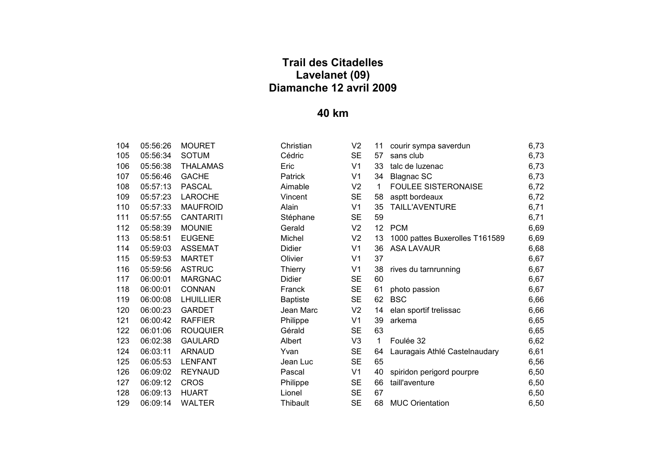| 104 | 05:56:26       | <b>MOURET</b>    |
|-----|----------------|------------------|
| 105 | 05:56:34       | SOTUM            |
| 106 | 05:56:38       | <b>THALAMAS</b>  |
| 107 | 05:56:46       | <b>GACHE</b>     |
| 108 | 05:57:13       | PASCAL           |
| 109 | 05:57:23       | LAROCHE          |
| 110 | 05:57:33       | <b>MAUFROID</b>  |
| 111 | 05:57:55       | CANTARITI        |
| 112 | 05:58:39       | <b>MOUNIE</b>    |
| 113 | 05:58:51       | <b>FUGENE</b>    |
| 114 | 05:59:03       | <b>ASSEMAT</b>   |
| 115 | 05:59:53       | <b>MARTET</b>    |
| 116 | 05:59:56       | <b>ASTRUC</b>    |
| 117 |                | 06:00:01 MARGNAC |
| 118 | 06:00:01       | <b>CONNAN</b>    |
| 119 | 06:00:08       | LHUILLIER        |
| 120 | 06:00:23       | GARDET           |
| 121 | 06:00:42       | <b>RAFFIER</b>   |
| 122 | 06:01:06       | <b>ROUQUIER</b>  |
| 123 | 06:02:38       | <b>GAULARD</b>   |
| 124 | 06:03:11       | <b>ARNAUD</b>    |
| 125 | 06:05:53       | <b>LENFANT</b>   |
| 126 |                | 06:09:02 REYNAUD |
| 127 | 06:09:12 CROS  |                  |
| 128 | 06:09:13 HUART |                  |
| 129 |                | 06:09:14 WALTER  |

| 104 | 05:56:26 | <b>MOURET</b>    | Christian       | V <sub>2</sub> | 11              | courir sympa saverdun          | 6,73 |
|-----|----------|------------------|-----------------|----------------|-----------------|--------------------------------|------|
| 105 | 05:56:34 | <b>SOTUM</b>     | Cédric          | <b>SE</b>      | 57              | sans club                      | 6,73 |
| 106 | 05:56:38 | <b>THALAMAS</b>  | Eric            | V <sub>1</sub> | 33              | talc de luzenac                | 6,73 |
| 107 | 05:56:46 | <b>GACHE</b>     | Patrick         | V <sub>1</sub> | 34              | <b>Blagnac SC</b>              | 6,73 |
| 108 | 05:57:13 | <b>PASCAL</b>    | Aimable         | V <sub>2</sub> | 1               | <b>FOULEE SISTERONAISE</b>     | 6,72 |
| 109 | 05:57:23 | <b>LAROCHE</b>   | Vincent         | <b>SE</b>      | 58              | asptt bordeaux                 | 6,72 |
| 110 | 05:57:33 | <b>MAUFROID</b>  | Alain           | V <sub>1</sub> | 35              | TAILL'AVENTURE                 | 6,71 |
| 111 | 05:57:55 | <b>CANTARITI</b> | Stéphane        | <b>SE</b>      | 59              |                                | 6,71 |
| 112 | 05:58:39 | <b>MOUNIE</b>    | Gerald          | V <sub>2</sub> | 12 <sub>2</sub> | <b>PCM</b>                     | 6,69 |
| 113 | 05:58:51 | <b>EUGENE</b>    | Michel          | V <sub>2</sub> | 13              | 1000 pattes Buxerolles T161589 | 6,69 |
| 114 | 05:59:03 | <b>ASSEMAT</b>   | Didier          | V <sub>1</sub> | 36              | <b>ASA LAVAUR</b>              | 6,68 |
| 115 | 05:59:53 | <b>MARTET</b>    | Olivier         | V <sub>1</sub> | 37              |                                | 6,67 |
| 116 | 05:59:56 | <b>ASTRUC</b>    | <b>Thierry</b>  | V <sub>1</sub> | 38              | rives du tarnrunning           | 6,67 |
| 117 | 06:00:01 | <b>MARGNAC</b>   | Didier          | <b>SE</b>      | 60              |                                | 6,67 |
| 118 | 06:00:01 | <b>CONNAN</b>    | Franck          | <b>SE</b>      | 61              | photo passion                  | 6,67 |
| 119 | 06:00:08 | <b>LHUILLIER</b> | <b>Baptiste</b> | <b>SE</b>      | 62              | <b>BSC</b>                     | 6,66 |
| 120 | 06:00:23 | <b>GARDET</b>    | Jean Marc       | V <sub>2</sub> | 14              | elan sportif trelissac         | 6,66 |
| 121 | 06:00:42 | <b>RAFFIER</b>   | Philippe        | V <sub>1</sub> | 39              | arkema                         | 6,65 |
| 122 | 06:01:06 | <b>ROUQUIER</b>  | Gérald          | <b>SE</b>      | 63              |                                | 6,65 |
| 123 | 06:02:38 | <b>GAULARD</b>   | Albert          | V <sub>3</sub> | $\mathbf{1}$    | Foulée 32                      | 6,62 |
| 124 | 06:03:11 | <b>ARNAUD</b>    | Yvan            | <b>SE</b>      | 64              | Lauragais Athlé Castelnaudary  | 6,61 |
| 125 | 06:05:53 | <b>LENFANT</b>   | Jean Luc        | <b>SE</b>      | 65              |                                | 6,56 |
| 126 | 06:09:02 | <b>REYNAUD</b>   | Pascal          | V <sub>1</sub> | 40              | spiridon perigord pourpre      | 6,50 |
| 127 | 06:09:12 | <b>CROS</b>      | Philippe        | <b>SE</b>      | 66              | taill'aventure                 | 6,50 |
| 128 | 06:09:13 | <b>HUART</b>     | Lionel          | <b>SE</b>      | 67              |                                | 6,50 |
| 129 | 06:09:14 | <b>WALTER</b>    | Thibault        | <b>SE</b>      | 68              | <b>MUC Orientation</b>         | 6,50 |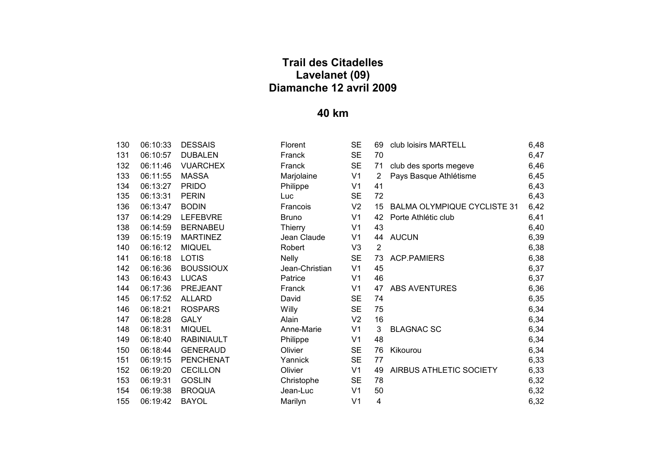| 130  | 06:10:33 | <b>DESSAIS</b>   |
|------|----------|------------------|
| 131  | 06:10:57 | DUBALEN          |
| 132  | 06:11:46 | <b>VUARCHEX</b>  |
| 133. | 06:11:55 | MASSA            |
| 134  | 06:13:27 | <b>PRIDO</b>     |
| 135  | 06:13:31 | <b>PERIN</b>     |
| 136  | 06:13:47 | <b>BODIN</b>     |
| 137  | 06:14:29 | <b>LEFEBVRE</b>  |
| 138  | 06:14:59 | <b>BERNABEU</b>  |
| 139  | 06:15:19 | <b>MARTINEZ</b>  |
| 140  | 06:16:12 | <b>MIQUEL</b>    |
| 141  | 06:16:18 | <b>LOTIS</b>     |
| 142  | 06:16:36 | <b>BOUSSIOUX</b> |
| 143  | 06:16:43 | LUCAS            |
| 144  | 06:17:36 | <b>PREJEANT</b>  |
| 145  | 06:17:52 | ALLARD           |
| 146  | 06:18:21 | <b>ROSPARS</b>   |
| 147  | 06:18:28 | GALY             |
| 148  | 06:18:31 | <b>MIQUEL</b>    |
| 149  | 06:18:40 | RABINIAULT       |
| 150  | 06:18:44 | <b>GENERAUD</b>  |
| 151  | 06:19:15 | <b>PENCHENAT</b> |
| 152  | 06:19:20 | <b>CECILLON</b>  |
| 153  | 06:19:31 | GOSLIN           |
| 154  | 06:19:38 | <b>BROOUA</b>    |
| 155  | 06:19:42 | <b>BAYOL</b>     |

| 130 | 06:10:33 | <b>DESSAIS</b>    | Florent        | <b>SE</b>      | 69             | club loisirs MARTELL               | 6,48 |
|-----|----------|-------------------|----------------|----------------|----------------|------------------------------------|------|
| 131 | 06:10:57 | <b>DUBALEN</b>    | Franck         | <b>SE</b>      | 70             |                                    | 6,47 |
| 132 | 06:11:46 | <b>VUARCHEX</b>   | Franck         | <b>SE</b>      | 71             | club des sports megeve             | 6,46 |
| 133 | 06:11:55 | <b>MASSA</b>      | Marjolaine     | V <sub>1</sub> | $\overline{2}$ | Pays Basque Athlétisme             | 6,45 |
| 134 | 06:13:27 | <b>PRIDO</b>      | Philippe       | V <sub>1</sub> | 41             |                                    | 6,43 |
| 135 | 06:13:31 | <b>PERIN</b>      | Luc            | <b>SE</b>      | 72             |                                    | 6,43 |
| 136 | 06:13:47 | <b>BODIN</b>      | Francois       | V <sub>2</sub> | 15             | <b>BALMA OLYMPIQUE CYCLISTE 31</b> | 6,42 |
| 137 | 06:14:29 | <b>LEFEBVRE</b>   | <b>Bruno</b>   | V <sub>1</sub> | 42             | Porte Athlétic club                | 6,41 |
| 138 | 06:14:59 | <b>BERNABEU</b>   | <b>Thierry</b> | V <sub>1</sub> | 43             |                                    | 6,40 |
| 139 | 06:15:19 | <b>MARTINEZ</b>   | Jean Claude    | V <sub>1</sub> | 44             | <b>AUCUN</b>                       | 6,39 |
| 140 | 06:16:12 | <b>MIQUEL</b>     | Robert         | V <sub>3</sub> | $\overline{2}$ |                                    | 6,38 |
| 141 | 06:16:18 | <b>LOTIS</b>      | <b>Nelly</b>   | <b>SE</b>      | 73             | <b>ACP.PAMIERS</b>                 | 6,38 |
| 142 | 06:16:36 | <b>BOUSSIOUX</b>  | Jean-Christian | V <sub>1</sub> | 45             |                                    | 6,37 |
| 143 | 06:16:43 | <b>LUCAS</b>      | Patrice        | V1             | 46             |                                    | 6,37 |
| 144 | 06:17:36 | <b>PREJEANT</b>   | Franck         | V <sub>1</sub> | 47             | <b>ABS AVENTURES</b>               | 6,36 |
| 145 | 06:17:52 | <b>ALLARD</b>     | David          | <b>SE</b>      | 74             |                                    | 6,35 |
| 146 | 06:18:21 | <b>ROSPARS</b>    | Willy          | <b>SE</b>      | 75             |                                    | 6,34 |
| 147 | 06:18:28 | <b>GALY</b>       | Alain          | V <sub>2</sub> | 16             |                                    | 6,34 |
| 148 | 06:18:31 | <b>MIQUEL</b>     | Anne-Marie     | V <sub>1</sub> | 3              | <b>BLAGNAC SC</b>                  | 6,34 |
| 149 | 06:18:40 | <b>RABINIAULT</b> | Philippe       | V <sub>1</sub> | 48             |                                    | 6,34 |
| 150 | 06:18:44 | <b>GENERAUD</b>   | Olivier        | <b>SE</b>      | 76             | Kikourou                           | 6,34 |
| 151 | 06:19:15 | <b>PENCHENAT</b>  | Yannick        | <b>SE</b>      | 77             |                                    | 6,33 |
| 152 | 06:19:20 | <b>CECILLON</b>   | Olivier        | V <sub>1</sub> | 49             | AIRBUS ATHLETIC SOCIETY            | 6,33 |
| 153 | 06:19:31 | <b>GOSLIN</b>     | Christophe     | <b>SE</b>      | 78             |                                    | 6,32 |
| 154 | 06:19:38 | <b>BROQUA</b>     | Jean-Luc       | V <sub>1</sub> | 50             |                                    | 6,32 |
| 155 | 06:19:42 | <b>BAYOL</b>      | Marilyn        | V <sub>1</sub> | 4              |                                    | 6,32 |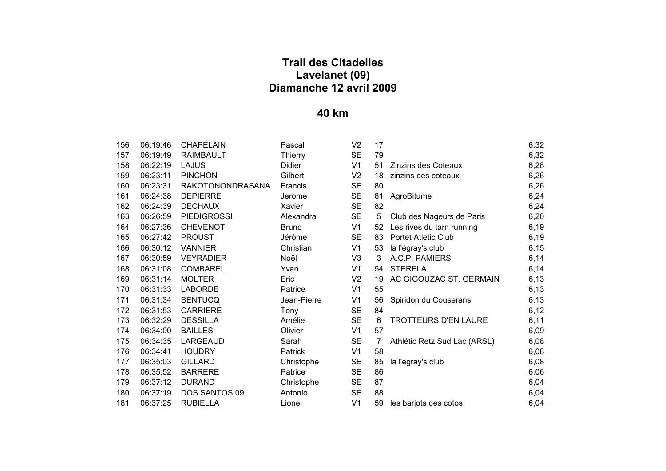| 156 | 06:19:46 | <b>CHAPELAIN</b>        | Pascal         | V <sub>2</sub> | 17 |                              | 6,32  |
|-----|----------|-------------------------|----------------|----------------|----|------------------------------|-------|
| 157 | 06:19:49 | <b>RAIMBAULT</b>        | Thierry        | <b>SE</b>      | 79 |                              | 6,32  |
| 158 | 06:22:19 | <b>LAJUS</b>            | Didier         | V <sub>1</sub> | 51 | Zinzins des Coteaux          | 6,28  |
| 159 | 06:23:11 | <b>PINCHON</b>          | Gilbert        | V <sub>2</sub> | 18 | zinzins des coteaux          | 6,26  |
| 160 | 06:23:31 | <b>RAKOTONONDRASANA</b> | Francis        | <b>SE</b>      | 80 |                              | 6,26  |
| 161 | 06:24:38 | <b>DEPIERRE</b>         | Jerome         | <b>SE</b>      | 81 | AgroBitume                   | 6,24  |
| 162 | 06:24:39 | <b>DECHAUX</b>          | Xavier         | <b>SE</b>      | 82 |                              | 6,24  |
| 163 | 06:26:59 | <b>PIEDIGROSSI</b>      | Alexandra      | <b>SE</b>      | 5  | Club des Nageurs de Paris    | 6,20  |
| 164 | 06:27:36 | <b>CHEVENOT</b>         | <b>Bruno</b>   | V <sub>1</sub> | 52 | Les rives du tarn running    | 6, 19 |
| 165 | 06:27:42 | <b>PROUST</b>           | Jérôme         | <b>SE</b>      | 83 | <b>Portet Atletic Club</b>   | 6, 19 |
| 166 | 06:30:12 | <b>VANNIER</b>          | Christian      | V <sub>1</sub> | 53 | la l'égray's club            | 6, 15 |
| 167 | 06:30:59 | <b>VEYRADIER</b>        | Noël           | V <sub>3</sub> | 3  | A.C.P. PAMIERS               | 6,14  |
| 168 | 06:31:08 | <b>COMBAREL</b>         | Yvan           | V <sub>1</sub> | 54 | <b>STERELA</b>               | 6,14  |
| 169 | 06:31:14 | <b>MOLTER</b>           | Eric           | V <sub>2</sub> | 19 | AC GIGOUZAC ST. GERMAIN      | 6, 13 |
| 170 | 06:31:33 | <b>LABORDE</b>          | Patrice        | V <sub>1</sub> | 55 |                              | 6, 13 |
| 171 | 06:31:34 | <b>SENTUCQ</b>          | Jean-Pierre    | V <sub>1</sub> | 56 | Spiridon du Couserans        | 6, 13 |
| 172 | 06:31:53 | <b>CARRIERE</b>         | Tony           | <b>SE</b>      | 84 |                              | 6,12  |
| 173 | 06:32:29 | <b>DESSILLA</b>         | Amélie         | <b>SE</b>      | 6  | <b>TROTTEURS D'EN LAURE</b>  | 6,11  |
| 174 | 06:34:00 | <b>BAILLES</b>          | Olivier        | V <sub>1</sub> | 57 |                              | 6,09  |
| 175 | 06:34:35 | <b>LARGEAUD</b>         | Sarah          | <b>SE</b>      | 7  | Athlétic Retz Sud Lac (ARSL) | 6,08  |
| 176 | 06:34:41 | <b>HOUDRY</b>           | <b>Patrick</b> | V <sub>1</sub> | 58 |                              | 6,08  |
| 177 | 06:35:03 | <b>GILLARD</b>          | Christophe     | <b>SE</b>      | 85 | la l'égray's club            | 6,08  |
| 178 | 06:35:52 | <b>BARRERE</b>          | Patrice        | <b>SE</b>      | 86 |                              | 6,06  |
| 179 | 06:37:12 | <b>DURAND</b>           | Christophe     | <b>SE</b>      | 87 |                              | 6,04  |
| 180 | 06:37:19 | DOS SANTOS 09           | Antonio        | <b>SE</b>      | 88 |                              | 6,04  |
| 181 | 06:37:25 | <b>RUBIELLA</b>         | Lionel         | V <sub>1</sub> | 59 | les barjots des cotos        | 6,04  |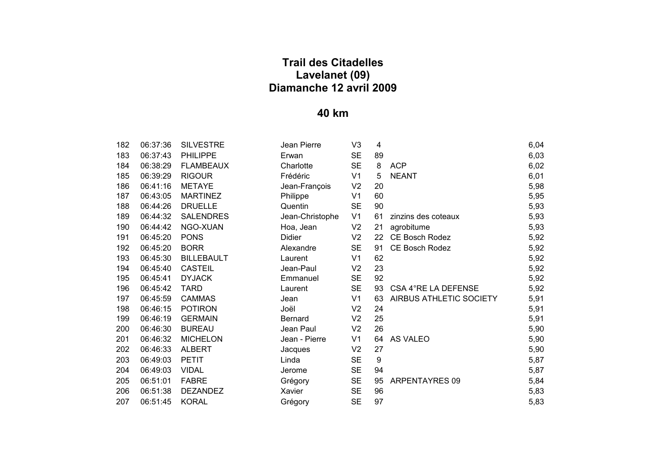| 182  | 06:37:36       | <b>SILVESTRE</b>  |
|------|----------------|-------------------|
| 183  | 06:37:43       | <b>PHILIPPE</b>   |
| 184  | 06:38:29       | <b>FLAMBEAUX</b>  |
| 185  | 06:39:29       | <b>RIGOUR</b>     |
| 186. | 06:41:16       | <b>METAYE</b>     |
| 187  | 06:43:05       | <b>MARTINEZ</b>   |
| 188  | 06:44:26       | <b>DRUELLE</b>    |
| 189  | 06:44:32       | <b>SALENDRES</b>  |
| 190  | 06:44:42       | NGO-XUAN          |
| 191  | 06:45:20       | <b>PONS</b>       |
| 192  | 06:45:20       | <b>BORR</b>       |
| 193  | 06:45:30       | <b>BILLEBAULT</b> |
| 194  | 06:45:40       | <b>CASTEIL</b>    |
| 195  | 06:45:41       | <b>DYJACK</b>     |
| 196  | 06:45:42       | TARD              |
| 197  | 06:45:59       | <b>CAMMAS</b>     |
| 198  | 06:46:15       | <b>POTIRON</b>    |
| 199  | 06:46:19       | <b>GERMAIN</b>    |
| 200  | 06:46:30       | <b>BUREAU</b>     |
| 201  | 06:46:32       | <b>MICHELON</b>   |
| 202  | 06:46:33       | ALBERT            |
| 203  | 06:49:03 PETIT |                   |
| 204  | 06:49:03       | <b>VIDAL</b>      |
| 205  | 06:51:01       | <b>FABRE</b>      |
| 206  | 06:51:38       | <b>DEZANDEZ</b>   |
| 207  | 06:51:45       | KORAL             |

| 182 | 06:37:36 | <b>SILVESTRE</b>  | Jean Pierre     | V <sub>3</sub> | 4  |                         | 6,04 |
|-----|----------|-------------------|-----------------|----------------|----|-------------------------|------|
| 183 | 06:37:43 | <b>PHILIPPE</b>   | Erwan           | <b>SE</b>      | 89 |                         | 6,03 |
| 184 | 06:38:29 | <b>FLAMBEAUX</b>  | Charlotte       | <b>SE</b>      | 8  | <b>ACP</b>              | 6,02 |
| 185 | 06:39:29 | <b>RIGOUR</b>     | Frédéric        | V <sub>1</sub> | 5  | <b>NEANT</b>            | 6,01 |
| 186 | 06:41:16 | <b>METAYE</b>     | Jean-François   | V <sub>2</sub> | 20 |                         | 5,98 |
| 187 | 06:43:05 | <b>MARTINEZ</b>   | Philippe        | V <sub>1</sub> | 60 |                         | 5,95 |
| 188 | 06:44:26 | <b>DRUELLE</b>    | Quentin         | <b>SE</b>      | 90 |                         | 5,93 |
| 189 | 06:44:32 | <b>SALENDRES</b>  | Jean-Christophe | V <sub>1</sub> | 61 | zinzins des coteaux     | 5,93 |
| 190 | 06:44:42 | NGO-XUAN          | Hoa, Jean       | V <sub>2</sub> | 21 | agrobitume              | 5,93 |
| 191 | 06:45:20 | <b>PONS</b>       | Didier          | V <sub>2</sub> | 22 | CE Bosch Rodez          | 5,92 |
| 192 | 06:45:20 | <b>BORR</b>       | Alexandre       | <b>SE</b>      | 91 | CE Bosch Rodez          | 5,92 |
| 193 | 06:45:30 | <b>BILLEBAULT</b> | Laurent         | V <sub>1</sub> | 62 |                         | 5,92 |
| 194 | 06:45:40 | <b>CASTEIL</b>    | Jean-Paul       | V <sub>2</sub> | 23 |                         | 5,92 |
| 195 | 06:45:41 | <b>DYJACK</b>     | Emmanuel        | <b>SE</b>      | 92 |                         | 5,92 |
| 196 | 06:45:42 | <b>TARD</b>       | Laurent         | <b>SE</b>      | 93 | CSA 4°RE LA DEFENSE     | 5,92 |
| 197 | 06:45:59 | <b>CAMMAS</b>     | Jean            | V <sub>1</sub> | 63 | AIRBUS ATHLETIC SOCIETY | 5,91 |
| 198 | 06:46:15 | <b>POTIRON</b>    | Joël            | V <sub>2</sub> | 24 |                         | 5,91 |
| 199 | 06:46:19 | <b>GERMAIN</b>    | <b>Bernard</b>  | V <sub>2</sub> | 25 |                         | 5,91 |
| 200 | 06:46:30 | <b>BUREAU</b>     | Jean Paul       | V <sub>2</sub> | 26 |                         | 5,90 |
| 201 | 06:46:32 | <b>MICHELON</b>   | Jean - Pierre   | V <sub>1</sub> | 64 | AS VALEO                | 5,90 |
| 202 | 06:46:33 | <b>ALBERT</b>     | Jacques         | V <sub>2</sub> | 27 |                         | 5,90 |
| 203 | 06:49:03 | <b>PETIT</b>      | Linda           | <b>SE</b>      | 9  |                         | 5,87 |
| 204 | 06:49:03 | <b>VIDAL</b>      | Jerome          | <b>SE</b>      | 94 |                         | 5,87 |
| 205 | 06:51:01 | <b>FABRE</b>      | Grégory         | <b>SE</b>      | 95 | ARPENTAYRES 09          | 5,84 |
| 206 | 06:51:38 | <b>DEZANDEZ</b>   | Xavier          | <b>SE</b>      | 96 |                         | 5,83 |
| 207 | 06:51:45 | <b>KORAL</b>      | Grégory         | <b>SE</b>      | 97 |                         | 5,83 |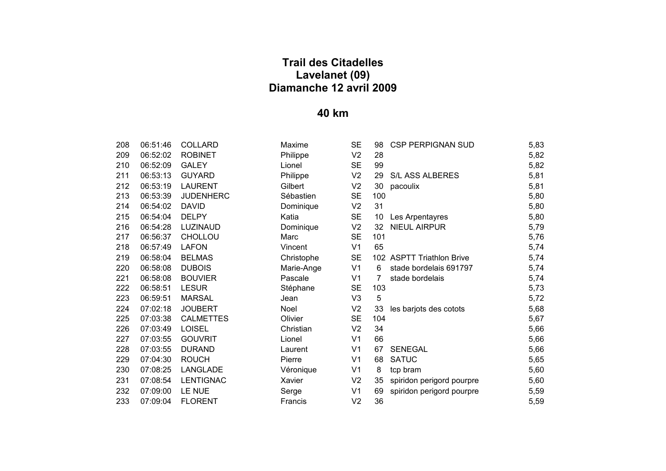| 208 | 06:51:46 | COLLARD          |
|-----|----------|------------------|
| 209 | 06:52:02 | <b>ROBINET</b>   |
| 210 | 06:52:09 | GALEY            |
| 211 | 06:53:13 | GUYARD           |
| 212 | 06:53:19 | LAURENT          |
| 213 | 06:53:39 | <b>JUDENHERC</b> |
| 214 | 06:54:02 | DAVID            |
| 215 | 06:54:04 | <b>DELPY</b>     |
| 216 | 06:54:28 | <b>LUZINAUD</b>  |
| 217 | 06:56:37 | CHOLLOU          |
| 218 | 06:57:49 | LAFON            |
| 219 | 06:58:04 | <b>BELMAS</b>    |
| 220 | 06:58:08 | <b>DUBOIS</b>    |
| 221 | 06:58:08 | <b>BOUVIER</b>   |
| 222 | 06:58:51 | LESUR            |
| 223 | 06:59:51 | <b>MARSAL</b>    |
| 224 | 07:02:18 | <b>JOUBERT</b>   |
| 225 | 07:03:38 | <b>CALMETTES</b> |
| 226 | 07:03:49 | LOISEL           |
| 227 | 07:03:55 | <b>GOUVRIT</b>   |
| 228 | 07:03:55 | <b>DURAND</b>    |
| 229 | 07:04:30 | <b>ROUCH</b>     |
| 230 | 07:08:25 | LANGLADE         |
| 231 | 07:08:54 | <b>LENTIGNAC</b> |
| 232 | 07:09:00 | LE NUE           |
| 233 | 07:09:04 | <b>FLORENT</b>   |

| 208 | 06:51:46 | <b>COLLARD</b>   | Maxime     | <b>SE</b>      | 98  | <b>CSP PERPIGNAN SUD</b>  | 5,83 |
|-----|----------|------------------|------------|----------------|-----|---------------------------|------|
| 209 | 06:52:02 | <b>ROBINET</b>   | Philippe   | V <sub>2</sub> | 28  |                           | 5,82 |
| 210 | 06:52:09 | <b>GALEY</b>     | Lionel     | <b>SE</b>      | 99  |                           | 5,82 |
| 211 | 06:53:13 | <b>GUYARD</b>    | Philippe   | V <sub>2</sub> | 29  | S/L ASS ALBERES           | 5,81 |
| 212 | 06:53:19 | <b>LAURENT</b>   | Gilbert    | V <sub>2</sub> | 30  | pacoulix                  | 5,81 |
| 213 | 06:53:39 | <b>JUDENHERC</b> | Sébastien  | <b>SE</b>      | 100 |                           | 5,80 |
| 214 | 06:54:02 | <b>DAVID</b>     | Dominique  | V <sub>2</sub> | 31  |                           | 5,80 |
| 215 | 06:54:04 | <b>DELPY</b>     | Katia      | <b>SE</b>      | 10  | Les Arpentayres           | 5,80 |
| 216 | 06:54:28 | LUZINAUD         | Dominique  | V <sub>2</sub> | 32  | <b>NIEUL AIRPUR</b>       | 5,79 |
| 217 | 06:56:37 | <b>CHOLLOU</b>   | Marc       | <b>SE</b>      | 101 |                           | 5,76 |
| 218 | 06:57:49 | <b>LAFON</b>     | Vincent    | V <sub>1</sub> | 65  |                           | 5,74 |
| 219 | 06:58:04 | <b>BELMAS</b>    | Christophe | <b>SE</b>      |     | 102 ASPTT Triathlon Brive | 5,74 |
| 220 | 06:58:08 | <b>DUBOIS</b>    | Marie-Ange | V <sub>1</sub> | 6   | stade bordelais 691797    | 5,74 |
| 221 | 06:58:08 | <b>BOUVIER</b>   | Pascale    | V <sub>1</sub> | 7   | stade bordelais           | 5,74 |
| 222 | 06:58:51 | <b>LESUR</b>     | Stéphane   | <b>SE</b>      | 103 |                           | 5,73 |
| 223 | 06:59:51 | <b>MARSAL</b>    | Jean       | V <sub>3</sub> | 5   |                           | 5,72 |
| 224 | 07:02:18 | <b>JOUBERT</b>   | Noel       | V <sub>2</sub> | 33  | les barjots des cotots    | 5,68 |
| 225 | 07:03:38 | <b>CALMETTES</b> | Olivier    | <b>SE</b>      | 104 |                           | 5,67 |
| 226 | 07:03:49 | <b>LOISEL</b>    | Christian  | V <sub>2</sub> | 34  |                           | 5,66 |
| 227 | 07:03:55 | <b>GOUVRIT</b>   | Lionel     | V <sub>1</sub> | 66  |                           | 5,66 |
| 228 | 07:03:55 | <b>DURAND</b>    | Laurent    | V <sub>1</sub> | 67  | <b>SENEGAL</b>            | 5,66 |
| 229 | 07:04:30 | <b>ROUCH</b>     | Pierre     | V <sub>1</sub> | 68  | <b>SATUC</b>              | 5,65 |
| 230 | 07:08:25 | LANGLADE         | Véronique  | V <sub>1</sub> | 8   | tcp bram                  | 5,60 |
| 231 | 07:08:54 | <b>LENTIGNAC</b> | Xavier     | V <sub>2</sub> | 35  | spiridon perigord pourpre | 5,60 |
| 232 | 07:09:00 | LE NUE           | Serge      | V <sub>1</sub> | 69  | spiridon perigord pourpre | 5,59 |
| 233 | 07:09:04 | <b>FLORENT</b>   | Francis    | V <sub>2</sub> | 36  |                           | 5,59 |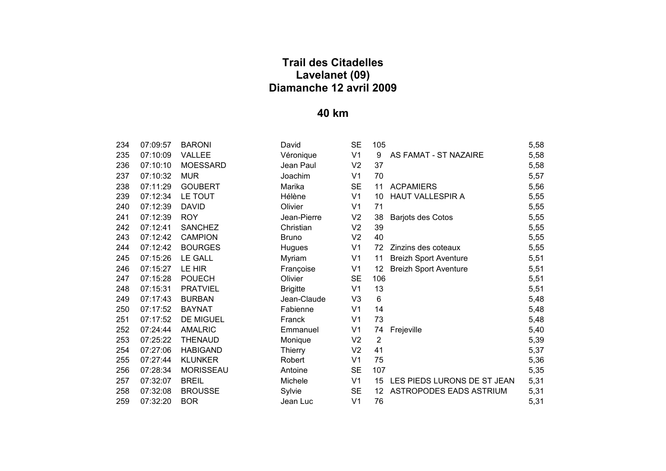| 234 | 07:09:57 | <b>BARONI</b>    |
|-----|----------|------------------|
| 235 | 07:10:09 | VALLEE           |
| 236 | 07:10:10 | MOESSARD         |
| 237 | 07:10:32 | MUR              |
| 238 | 07:11:29 | <b>GOUBERT</b>   |
| 239 | 07:12:34 | LE TOUT          |
| 240 | 07:12:39 | <b>DAVID</b>     |
| 241 | 07:12:39 | ROY              |
| 242 | 07:12:41 | <b>SANCHEZ</b>   |
| 243 | 07:12:42 | <b>CAMPION</b>   |
| 244 | 07:12:42 | <b>BOURGES</b>   |
| 245 | 07:15:26 | LE GALL          |
| 246 | 07:15:27 | LE HIR           |
| 247 | 07:15:28 | <b>POUECH</b>    |
| 248 | 07:15:31 | <b>PRATVIEL</b>  |
| 249 | 07:17:43 | <b>BURBAN</b>    |
| 250 | 07:17:52 | BAYNAT           |
| 251 | 07:17:52 | <b>DE MIGUEL</b> |
| 252 | 07:24:44 | <b>AMALRIC</b>   |
| 253 | 07:25:22 | <b>THENAUD</b>   |
| 254 | 07:27:06 | <b>HABIGAND</b>  |
| 255 | 07:27:44 | KLUNKER          |
| 256 | 07:28:34 | <b>MORISSEAU</b> |
| 257 | 07:32:07 | <b>BREIL</b>     |
| 258 | 07:32:08 | <b>BROUSSE</b>   |
| 259 | 07:32:20 | BOR              |

| 234 | 07:09:57 | <b>BARONI</b>    | David           | <b>SE</b>      | 105            |                              | 5,58 |
|-----|----------|------------------|-----------------|----------------|----------------|------------------------------|------|
| 235 | 07:10:09 | <b>VALLEE</b>    | Véronique       | V <sub>1</sub> | 9              | AS FAMAT - ST NAZAIRE        | 5,58 |
| 236 | 07:10:10 | <b>MOESSARD</b>  | Jean Paul       | V <sub>2</sub> | 37             |                              | 5,58 |
| 237 | 07:10:32 | <b>MUR</b>       | Joachim         | V <sub>1</sub> | 70             |                              | 5,57 |
| 238 | 07:11:29 | <b>GOUBERT</b>   | Marika          | <b>SE</b>      | 11             | <b>ACPAMIERS</b>             | 5,56 |
| 239 | 07:12:34 | LE TOUT          | Hélène          | V <sub>1</sub> | 10             | HAUT VALLESPIR A             | 5,55 |
| 240 | 07:12:39 | <b>DAVID</b>     | Olivier         | V <sub>1</sub> | 71             |                              | 5,55 |
| 241 | 07:12:39 | <b>ROY</b>       | Jean-Pierre     | V <sub>2</sub> | 38             | Barjots des Cotos            | 5,55 |
| 242 | 07:12:41 | <b>SANCHEZ</b>   | Christian       | V <sub>2</sub> | 39             |                              | 5,55 |
| 243 | 07:12:42 | <b>CAMPION</b>   | <b>Bruno</b>    | V <sub>2</sub> | 40             |                              | 5,55 |
| 244 | 07:12:42 | <b>BOURGES</b>   | Hugues          | V1             | 72             | Zinzins des coteaux          | 5,55 |
| 245 | 07:15:26 | <b>LE GALL</b>   | Myriam          | V <sub>1</sub> | 11             | <b>Breizh Sport Aventure</b> | 5,51 |
| 246 | 07:15:27 | LE HIR           | Françoise       | V <sub>1</sub> | 12             | <b>Breizh Sport Aventure</b> | 5,51 |
| 247 | 07:15:28 | <b>POUECH</b>    | Olivier         | <b>SE</b>      | 106            |                              | 5,51 |
| 248 | 07:15:31 | <b>PRATVIEL</b>  | <b>Brigitte</b> | V <sub>1</sub> | 13             |                              | 5,51 |
| 249 | 07:17:43 | <b>BURBAN</b>    | Jean-Claude     | V <sub>3</sub> | 6              |                              | 5,48 |
| 250 | 07:17:52 | <b>BAYNAT</b>    | Fabienne        | V <sub>1</sub> | 14             |                              | 5,48 |
| 251 | 07:17:52 | DE MIGUEL        | Franck          | V1             | 73             |                              | 5,48 |
| 252 | 07:24:44 | <b>AMALRIC</b>   | Emmanuel        | V <sub>1</sub> | 74             | Frejeville                   | 5,40 |
| 253 | 07:25:22 | <b>THENAUD</b>   | Monique         | V <sub>2</sub> | $\overline{2}$ |                              | 5,39 |
| 254 | 07:27:06 | <b>HABIGAND</b>  | Thierry         | V <sub>2</sub> | 41             |                              | 5,37 |
| 255 | 07:27:44 | <b>KLUNKER</b>   | Robert          | V <sub>1</sub> | 75             |                              | 5,36 |
| 256 | 07:28:34 | <b>MORISSEAU</b> | Antoine         | <b>SE</b>      | 107            |                              | 5,35 |
| 257 | 07:32:07 | <b>BREIL</b>     | Michele         | V <sub>1</sub> | 15             | LES PIEDS LURONS DE ST JEAN  | 5,31 |
| 258 | 07:32:08 | <b>BROUSSE</b>   | Sylvie          | <b>SE</b>      | 12             | ASTROPODES EADS ASTRIUM      | 5,31 |
| 259 | 07:32:20 | <b>BOR</b>       | Jean Luc        | V <sub>1</sub> | 76             |                              | 5,31 |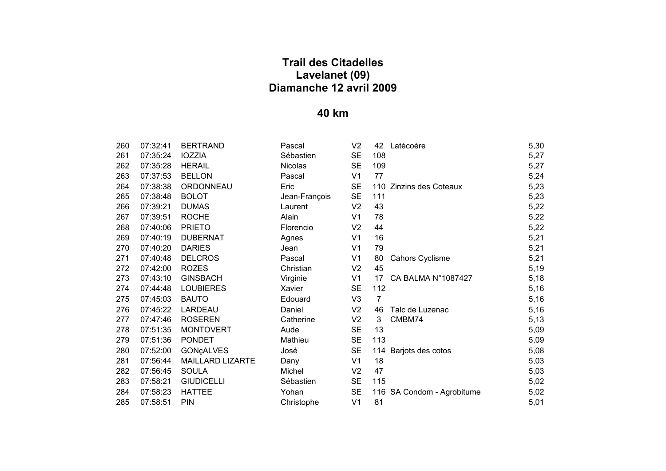| 260 - | 07:32:41              | <b>BERTRAND</b>           |
|-------|-----------------------|---------------------------|
| 261   | 07:35:24 IOZZIA       |                           |
|       | 262 07:35:28 HERAIL   |                           |
|       | 263  07:37:53  BELLON |                           |
|       |                       | 264 07:38:38 ORDONNEAU    |
|       | 265 07:38:48 BOLOT    |                           |
|       | 266 07:39:21 DUMAS    |                           |
|       | 267 07:39:51 ROCHE    |                           |
|       | 268  07:40:06  PRIETO |                           |
|       |                       | 269  07:40:19  DUBERNAT   |
|       | 270 07:40:20 DARIES   |                           |
|       |                       | 271  07:40:48  DELCROS    |
|       | 272  07:42:00  ROZES  |                           |
|       |                       | 273 07:43:10 GINSBACH     |
|       |                       | 274 07:44:48 LOUBIERES    |
|       | 275  07:45:03  BAUTO  |                           |
|       |                       | 276 07:45:22 LARDEAU      |
|       |                       | 277  07:47:46  ROSEREN    |
| 278   |                       | 07:51:35 MONTOVERT        |
|       | 279  07:51:36  PONDET |                           |
|       | 280  07:52:00         | <b>GON¢ALVES</b>          |
|       | 281 07:56:44          | <b>MAILLARD LIZART</b>    |
|       | 282 07:56:45 SOULA    |                           |
|       |                       | 283  07:58:21  GIUDICELLI |
|       | 284 07:58:23 HATTEE   |                           |
| 285   | 07:58:51 PIN          |                           |

| 260 | 07:32:41 | <b>BERTRAND</b>   | Pascal         | V <sub>2</sub> | 42             | Latécoère                  | 5,30 |
|-----|----------|-------------------|----------------|----------------|----------------|----------------------------|------|
| 261 | 07:35:24 | <b>IOZZIA</b>     | Sébastien      | <b>SE</b>      | 108            |                            | 5,27 |
| 262 | 07:35:28 | <b>HERAIL</b>     | <b>Nicolas</b> | <b>SE</b>      | 109            |                            | 5,27 |
| 263 | 07:37:53 | <b>BELLON</b>     | Pascal         | V <sub>1</sub> | 77             |                            | 5,24 |
| 264 | 07:38:38 | <b>ORDONNEAU</b>  | Eric           | <b>SE</b>      |                | 110 Zinzins des Coteaux    | 5,23 |
| 265 | 07:38:48 | <b>BOLOT</b>      | Jean-François  | <b>SE</b>      | 111            |                            | 5,23 |
| 266 | 07:39:21 | <b>DUMAS</b>      | Laurent        | V <sub>2</sub> | 43             |                            | 5,22 |
| 267 | 07:39:51 | <b>ROCHE</b>      | Alain          | V1             | 78             |                            | 5,22 |
| 268 | 07:40:06 | <b>PRIETO</b>     | Florencio      | V <sub>2</sub> | 44             |                            | 5,22 |
| 269 | 07:40:19 | <b>DUBERNAT</b>   | Agnes          | V <sub>1</sub> | 16             |                            | 5,21 |
| 270 | 07:40:20 | <b>DARIES</b>     | Jean           | V1             | 79             |                            | 5,21 |
| 271 | 07:40:48 | <b>DELCROS</b>    | Pascal         | V <sub>1</sub> | 80             | <b>Cahors Cyclisme</b>     | 5,21 |
| 272 | 07:42:00 | <b>ROZES</b>      | Christian      | V <sub>2</sub> | 45             |                            | 5,19 |
| 273 | 07:43:10 | <b>GINSBACH</b>   | Virginie       | V <sub>1</sub> | 17             | CA BALMA N°1087427         | 5,18 |
| 274 | 07:44:48 | <b>LOUBIERES</b>  | Xavier         | <b>SE</b>      | 112            |                            | 5,16 |
| 275 | 07:45:03 | <b>BAUTO</b>      | Edouard        | V <sub>3</sub> | $\overline{7}$ |                            | 5,16 |
| 276 | 07:45:22 | LARDEAU           | Daniel         | V <sub>2</sub> | 46             | Talc de Luzenac            | 5,16 |
| 277 | 07:47:46 | <b>ROSEREN</b>    | Catherine      | V <sub>2</sub> | 3              | CMBM74                     | 5,13 |
| 278 | 07:51:35 | <b>MONTOVERT</b>  | Aude           | <b>SE</b>      | 13             |                            | 5,09 |
| 279 | 07:51:36 | <b>PONDET</b>     | Mathieu        | <b>SE</b>      | 113            |                            | 5,09 |
| 280 | 07:52:00 | <b>GONÇALVES</b>  | José           | <b>SE</b>      |                | 114 Barjots des cotos      | 5,08 |
| 281 | 07:56:44 | MAILLARD LIZARTE  | Dany           | V <sub>1</sub> | 18             |                            | 5,03 |
| 282 | 07:56:45 | <b>SOULA</b>      | Michel         | V <sub>2</sub> | 47             |                            | 5,03 |
| 283 | 07:58:21 | <b>GIUDICELLI</b> | Sébastien      | <b>SE</b>      | 115            |                            | 5,02 |
| 284 | 07:58:23 | <b>HATTEE</b>     | Yohan          | <b>SE</b>      |                | 116 SA Condom - Agrobitume | 5,02 |
| 285 | 07:58:51 | <b>PIN</b>        | Christophe     | V <sub>1</sub> | 81             |                            | 5,01 |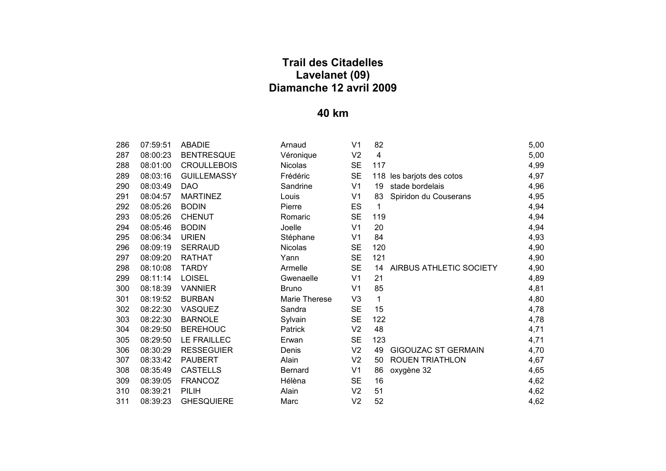| 286 | 07:59:51 | <b>ABADIE</b>      | Arnaud         | V <sub>1</sub> | 82             |                            | 5,00 |
|-----|----------|--------------------|----------------|----------------|----------------|----------------------------|------|
| 287 | 08:00:23 | <b>BENTRESQUE</b>  | Véronique      | V <sub>2</sub> | $\overline{4}$ |                            | 5,00 |
| 288 | 08:01:00 | <b>CROULLEBOIS</b> | Nicolas        | <b>SE</b>      | 117            |                            | 4,99 |
| 289 | 08:03:16 | <b>GUILLEMASSY</b> | Frédéric       | <b>SE</b>      |                | 118 les barjots des cotos  | 4,97 |
| 290 | 08:03:49 | <b>DAO</b>         | Sandrine       | V <sub>1</sub> | 19             | stade bordelais            | 4,96 |
| 291 | 08:04:57 | <b>MARTINEZ</b>    | Louis          | V <sub>1</sub> | 83             | Spiridon du Couserans      | 4,95 |
| 292 | 08:05:26 | <b>BODIN</b>       | Pierre         | ES             | 1              |                            | 4,94 |
| 293 | 08:05:26 | <b>CHENUT</b>      | Romaric        | <b>SE</b>      | 119            |                            | 4,94 |
| 294 | 08:05:46 | <b>BODIN</b>       | Joelle         | V <sub>1</sub> | 20             |                            | 4,94 |
| 295 | 08:06:34 | <b>URIEN</b>       | Stéphane       | V <sub>1</sub> | 84             |                            | 4,93 |
| 296 | 08:09:19 | <b>SERRAUD</b>     | <b>Nicolas</b> | <b>SE</b>      | 120            |                            | 4,90 |
| 297 | 08:09:20 | <b>RATHAT</b>      | Yann           | <b>SE</b>      | 121            |                            | 4,90 |
| 298 | 08:10:08 | <b>TARDY</b>       | Armelle        | <b>SE</b>      | 14             | AIRBUS ATHLETIC SOCIETY    | 4,90 |
| 299 | 08:11:14 | <b>LOISEL</b>      | Gwenaelle      | V <sub>1</sub> | 21             |                            | 4,89 |
| 300 | 08:18:39 | <b>VANNIER</b>     | <b>Bruno</b>   | V <sub>1</sub> | 85             |                            | 4,81 |
| 301 | 08:19:52 | <b>BURBAN</b>      | Marie Therese  | V <sub>3</sub> | 1              |                            | 4,80 |
| 302 | 08:22:30 | VASQUEZ            | Sandra         | <b>SE</b>      | 15             |                            | 4,78 |
| 303 | 08:22:30 | <b>BARNOLE</b>     | Sylvain        | <b>SE</b>      | 122            |                            | 4,78 |
| 304 | 08:29:50 | <b>BEREHOUC</b>    | Patrick        | V <sub>2</sub> | 48             |                            | 4,71 |
| 305 | 08:29:50 | LE FRAILLEC        | Erwan          | <b>SE</b>      | 123            |                            | 4,71 |
| 306 | 08:30:29 | <b>RESSEGUIER</b>  | Denis          | V <sub>2</sub> | 49             | <b>GIGOUZAC ST GERMAIN</b> | 4,70 |
| 307 | 08:33:42 | <b>PAUBERT</b>     | Alain          | V <sub>2</sub> | 50             | <b>ROUEN TRIATHLON</b>     | 4,67 |
| 308 | 08:35:49 | <b>CASTELLS</b>    | <b>Bernard</b> | V <sub>1</sub> | 86             | oxygène 32                 | 4,65 |
| 309 | 08:39:05 | <b>FRANCOZ</b>     | Hélèna         | <b>SE</b>      | 16             |                            | 4,62 |
| 310 | 08:39:21 | <b>PILIH</b>       | Alain          | V <sub>2</sub> | 51             |                            | 4,62 |
| 311 | 08:39:23 | <b>GHESQUIERE</b>  | Marc           | V <sub>2</sub> | 52             |                            | 4,62 |